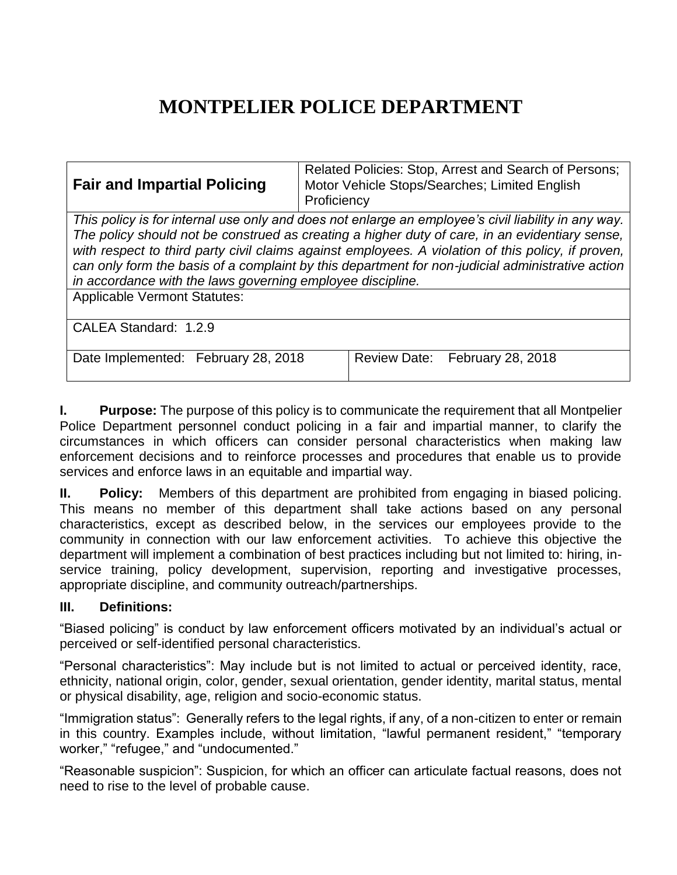# **MONTPELIER POLICE DEPARTMENT**

| <b>Fair and Impartial Policing</b>                                                                                                                                                                                                                                                                                                                                                                                                                                            | Related Policies: Stop, Arrest and Search of Persons;<br>Motor Vehicle Stops/Searches; Limited English<br>Proficiency |
|-------------------------------------------------------------------------------------------------------------------------------------------------------------------------------------------------------------------------------------------------------------------------------------------------------------------------------------------------------------------------------------------------------------------------------------------------------------------------------|-----------------------------------------------------------------------------------------------------------------------|
| This policy is for internal use only and does not enlarge an employee's civil liability in any way.<br>The policy should not be construed as creating a higher duty of care, in an evidentiary sense,<br>with respect to third party civil claims against employees. A violation of this policy, if proven,<br>can only form the basis of a complaint by this department for non-judicial administrative action<br>in accordance with the laws governing employee discipline. |                                                                                                                       |
| <b>Applicable Vermont Statutes:</b>                                                                                                                                                                                                                                                                                                                                                                                                                                           |                                                                                                                       |
| CALEA Standard: 1.2.9                                                                                                                                                                                                                                                                                                                                                                                                                                                         |                                                                                                                       |
| Date Implemented: February 28, 2018                                                                                                                                                                                                                                                                                                                                                                                                                                           | Review Date: February 28, 2018                                                                                        |

**I. Purpose:** The purpose of this policy is to communicate the requirement that all Montpelier Police Department personnel conduct policing in a fair and impartial manner, to clarify the circumstances in which officers can consider personal characteristics when making law enforcement decisions and to reinforce processes and procedures that enable us to provide services and enforce laws in an equitable and impartial way.

**II. Policy:** Members of this department are prohibited from engaging in biased policing. This means no member of this department shall take actions based on any personal characteristics, except as described below, in the services our employees provide to the community in connection with our law enforcement activities. To achieve this objective the department will implement a combination of best practices including but not limited to: hiring, inservice training, policy development, supervision, reporting and investigative processes, appropriate discipline, and community outreach/partnerships.

## **III. Definitions:**

"Biased policing" is conduct by law enforcement officers motivated by an individual's actual or perceived or self-identified personal characteristics.

"Personal characteristics": May include but is not limited to actual or perceived identity, race, ethnicity, national origin, color, gender, sexual orientation, gender identity, marital status, mental or physical disability, age, religion and socio-economic status.

"Immigration status": Generally refers to the legal rights, if any, of a non-citizen to enter or remain in this country. Examples include, without limitation, "lawful permanent resident," "temporary worker," "refugee," and "undocumented."

"Reasonable suspicion": Suspicion, for which an officer can articulate factual reasons, does not need to rise to the level of probable cause.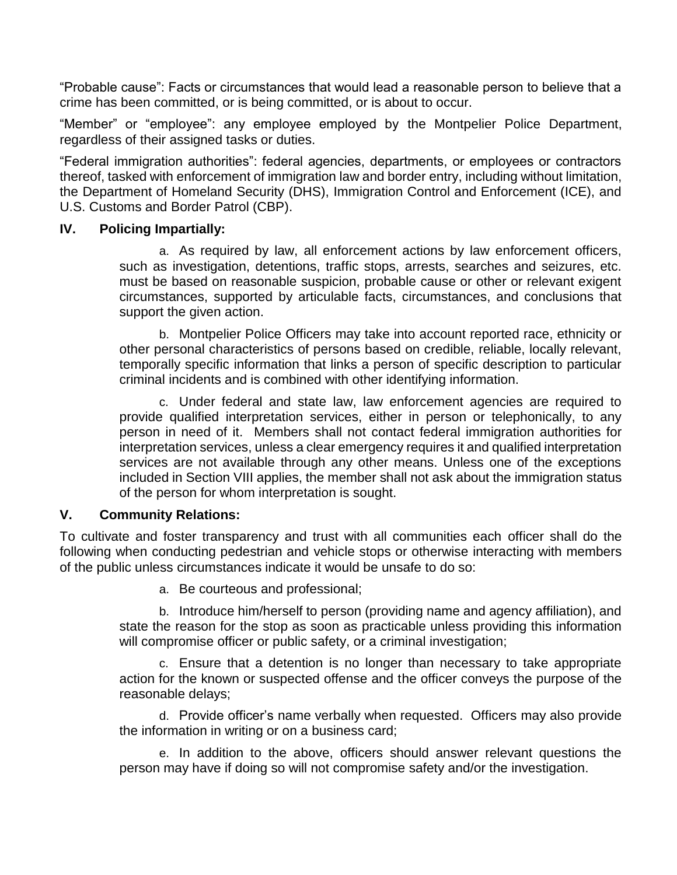"Probable cause": Facts or circumstances that would lead a reasonable person to believe that a crime has been committed, or is being committed, or is about to occur.

"Member" or "employee": any employee employed by the Montpelier Police Department, regardless of their assigned tasks or duties.

"Federal immigration authorities": federal agencies, departments, or employees or contractors thereof, tasked with enforcement of immigration law and border entry, including without limitation, the Department of Homeland Security (DHS), Immigration Control and Enforcement (ICE), and U.S. Customs and Border Patrol (CBP).

#### **IV. Policing Impartially:**

a. As required by law, all enforcement actions by law enforcement officers, such as investigation, detentions, traffic stops, arrests, searches and seizures, etc. must be based on reasonable suspicion, probable cause or other or relevant exigent circumstances, supported by articulable facts, circumstances, and conclusions that support the given action.

b. Montpelier Police Officers may take into account reported race, ethnicity or other personal characteristics of persons based on credible, reliable, locally relevant, temporally specific information that links a person of specific description to particular criminal incidents and is combined with other identifying information.

c. Under federal and state law, law enforcement agencies are required to provide qualified interpretation services, either in person or telephonically, to any person in need of it. Members shall not contact federal immigration authorities for interpretation services, unless a clear emergency requires it and qualified interpretation services are not available through any other means. Unless one of the exceptions included in Section VIII applies, the member shall not ask about the immigration status of the person for whom interpretation is sought.

#### **V. Community Relations:**

To cultivate and foster transparency and trust with all communities each officer shall do the following when conducting pedestrian and vehicle stops or otherwise interacting with members of the public unless circumstances indicate it would be unsafe to do so:

a. Be courteous and professional;

b. Introduce him/herself to person (providing name and agency affiliation), and state the reason for the stop as soon as practicable unless providing this information will compromise officer or public safety, or a criminal investigation;

c. Ensure that a detention is no longer than necessary to take appropriate action for the known or suspected offense and the officer conveys the purpose of the reasonable delays;

d. Provide officer's name verbally when requested. Officers may also provide the information in writing or on a business card;

e. In addition to the above, officers should answer relevant questions the person may have if doing so will not compromise safety and/or the investigation.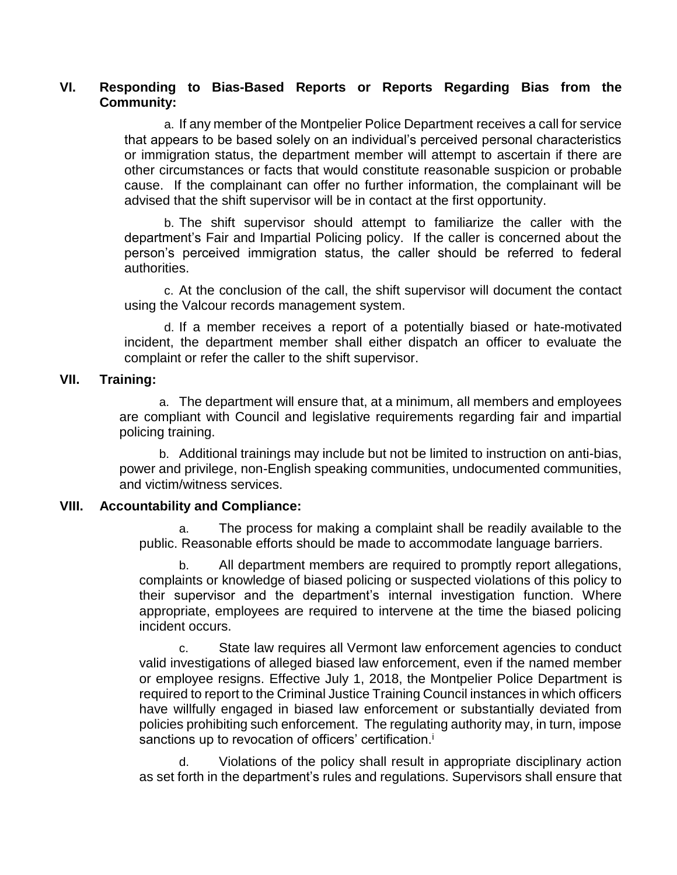#### **VI. Responding to Bias-Based Reports or Reports Regarding Bias from the Community:**

a. If any member of the Montpelier Police Department receives a call for service that appears to be based solely on an individual's perceived personal characteristics or immigration status, the department member will attempt to ascertain if there are other circumstances or facts that would constitute reasonable suspicion or probable cause. If the complainant can offer no further information, the complainant will be advised that the shift supervisor will be in contact at the first opportunity.

b. The shift supervisor should attempt to familiarize the caller with the department's Fair and Impartial Policing policy. If the caller is concerned about the person's perceived immigration status, the caller should be referred to federal authorities.

c. At the conclusion of the call, the shift supervisor will document the contact using the Valcour records management system.

d. If a member receives a report of a potentially biased or hate-motivated incident, the department member shall either dispatch an officer to evaluate the complaint or refer the caller to the shift supervisor.

#### **VII. Training:**

a. The department will ensure that, at a minimum, all members and employees are compliant with Council and legislative requirements regarding fair and impartial policing training.

b. Additional trainings may include but not be limited to instruction on anti-bias, power and privilege, non-English speaking communities, undocumented communities, and victim/witness services.

#### **VIII. Accountability and Compliance:**

a. The process for making a complaint shall be readily available to the public. Reasonable efforts should be made to accommodate language barriers.

b. All department members are required to promptly report allegations, complaints or knowledge of biased policing or suspected violations of this policy to their supervisor and the department's internal investigation function. Where appropriate, employees are required to intervene at the time the biased policing incident occurs.

c. State law requires all Vermont law enforcement agencies to conduct valid investigations of alleged biased law enforcement, even if the named member or employee resigns. Effective July 1, 2018, the Montpelier Police Department is required to report to the Criminal Justice Training Council instances in which officers have willfully engaged in biased law enforcement or substantially deviated from policies prohibiting such enforcement. The regulating authority may, in turn, impose sanctions up to revocation of officers' certification.<sup>i</sup>

Violations of the policy shall result in appropriate disciplinary action as set forth in the department's rules and regulations. Supervisors shall ensure that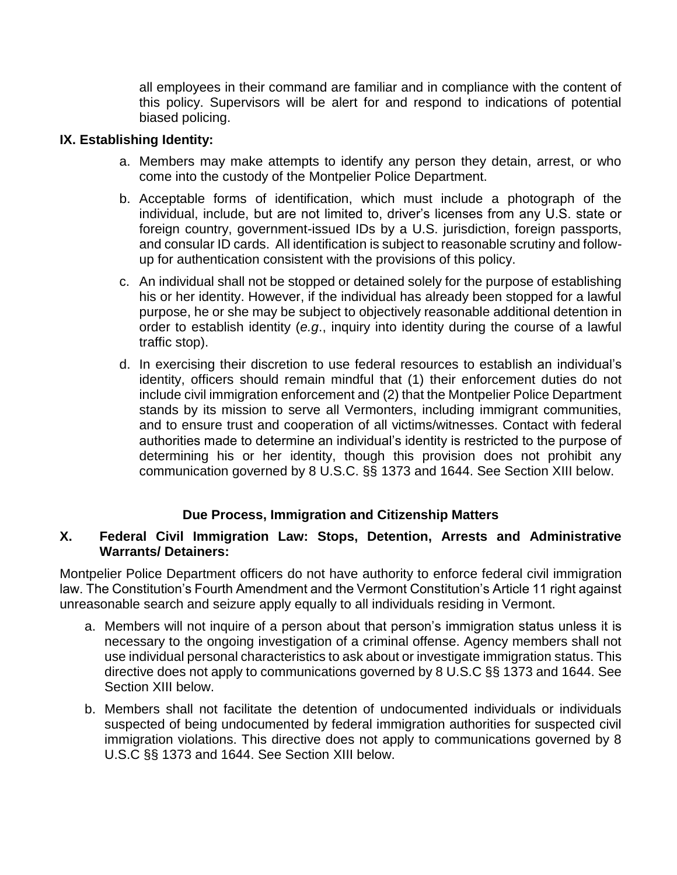all employees in their command are familiar and in compliance with the content of this policy. Supervisors will be alert for and respond to indications of potential biased policing.

### **IX. Establishing Identity:**

- a. Members may make attempts to identify any person they detain, arrest, or who come into the custody of the Montpelier Police Department.
- b. Acceptable forms of identification, which must include a photograph of the individual, include, but are not limited to, driver's licenses from any U.S. state or foreign country, government-issued IDs by a U.S. jurisdiction, foreign passports, and consular ID cards. All identification is subject to reasonable scrutiny and followup for authentication consistent with the provisions of this policy.
- c. An individual shall not be stopped or detained solely for the purpose of establishing his or her identity. However, if the individual has already been stopped for a lawful purpose, he or she may be subject to objectively reasonable additional detention in order to establish identity (*e.g*., inquiry into identity during the course of a lawful traffic stop).
- d. In exercising their discretion to use federal resources to establish an individual's identity, officers should remain mindful that (1) their enforcement duties do not include civil immigration enforcement and (2) that the Montpelier Police Department stands by its mission to serve all Vermonters, including immigrant communities, and to ensure trust and cooperation of all victims/witnesses. Contact with federal authorities made to determine an individual's identity is restricted to the purpose of determining his or her identity, though this provision does not prohibit any communication governed by 8 U.S.C. §§ 1373 and 1644. See Section XIII below.

## **Due Process, Immigration and Citizenship Matters**

## **X. Federal Civil Immigration Law: Stops, Detention, Arrests and Administrative Warrants/ Detainers:**

Montpelier Police Department officers do not have authority to enforce federal civil immigration law. The Constitution's Fourth Amendment and the Vermont Constitution's Article 11 right against unreasonable search and seizure apply equally to all individuals residing in Vermont.

- a. Members will not inquire of a person about that person's immigration status unless it is necessary to the ongoing investigation of a criminal offense. Agency members shall not use individual personal characteristics to ask about or investigate immigration status. This directive does not apply to communications governed by 8 U.S.C §§ 1373 and 1644. See Section XIII below.
- b. Members shall not facilitate the detention of undocumented individuals or individuals suspected of being undocumented by federal immigration authorities for suspected civil immigration violations. This directive does not apply to communications governed by 8 U.S.C §§ 1373 and 1644. See Section XIII below.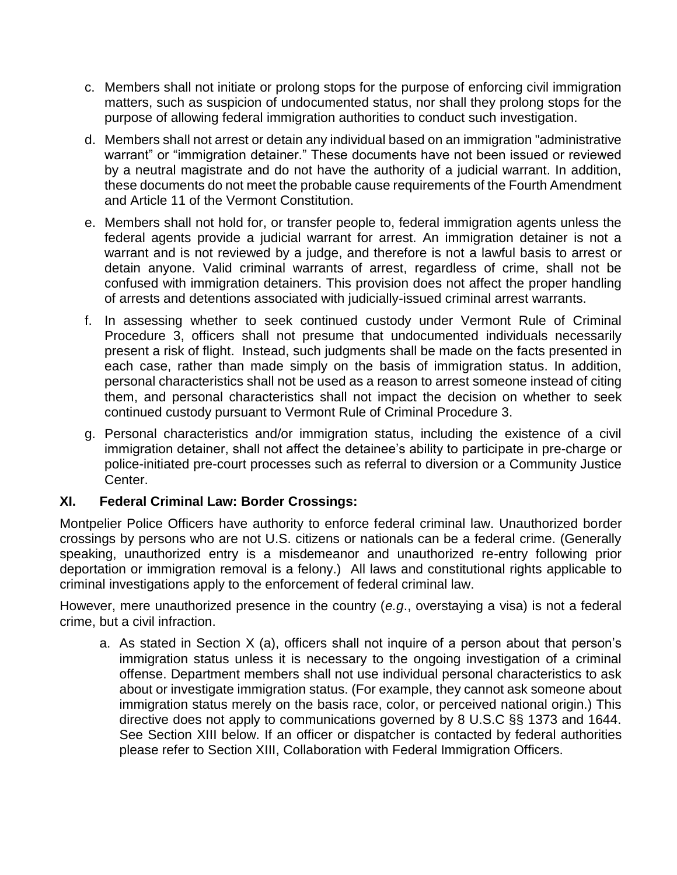- c. Members shall not initiate or prolong stops for the purpose of enforcing civil immigration matters, such as suspicion of undocumented status, nor shall they prolong stops for the purpose of allowing federal immigration authorities to conduct such investigation.
- d. Members shall not arrest or detain any individual based on an immigration "administrative warrant" or "immigration detainer." These documents have not been issued or reviewed by a neutral magistrate and do not have the authority of a judicial warrant. In addition, these documents do not meet the probable cause requirements of the Fourth Amendment and Article 11 of the Vermont Constitution.
- e. Members shall not hold for, or transfer people to, federal immigration agents unless the federal agents provide a judicial warrant for arrest. An immigration detainer is not a warrant and is not reviewed by a judge, and therefore is not a lawful basis to arrest or detain anyone. Valid criminal warrants of arrest, regardless of crime, shall not be confused with immigration detainers. This provision does not affect the proper handling of arrests and detentions associated with judicially-issued criminal arrest warrants.
- f. In assessing whether to seek continued custody under Vermont Rule of Criminal Procedure 3, officers shall not presume that undocumented individuals necessarily present a risk of flight. Instead, such judgments shall be made on the facts presented in each case, rather than made simply on the basis of immigration status. In addition, personal characteristics shall not be used as a reason to arrest someone instead of citing them, and personal characteristics shall not impact the decision on whether to seek continued custody pursuant to Vermont Rule of Criminal Procedure 3.
- g. Personal characteristics and/or immigration status, including the existence of a civil immigration detainer, shall not affect the detainee's ability to participate in pre-charge or police-initiated pre-court processes such as referral to diversion or a Community Justice Center.

## **XI. Federal Criminal Law: Border Crossings:**

Montpelier Police Officers have authority to enforce federal criminal law. Unauthorized border crossings by persons who are not U.S. citizens or nationals can be a federal crime. (Generally speaking, unauthorized entry is a misdemeanor and unauthorized re-entry following prior deportation or immigration removal is a felony.) All laws and constitutional rights applicable to criminal investigations apply to the enforcement of federal criminal law.

However, mere unauthorized presence in the country (*e.g*., overstaying a visa) is not a federal crime, but a civil infraction.

a. As stated in Section X (a), officers shall not inquire of a person about that person's immigration status unless it is necessary to the ongoing investigation of a criminal offense. Department members shall not use individual personal characteristics to ask about or investigate immigration status. (For example, they cannot ask someone about immigration status merely on the basis race, color, or perceived national origin.) This directive does not apply to communications governed by 8 U.S.C §§ 1373 and 1644. See Section XIII below. If an officer or dispatcher is contacted by federal authorities please refer to Section XIII, Collaboration with Federal Immigration Officers.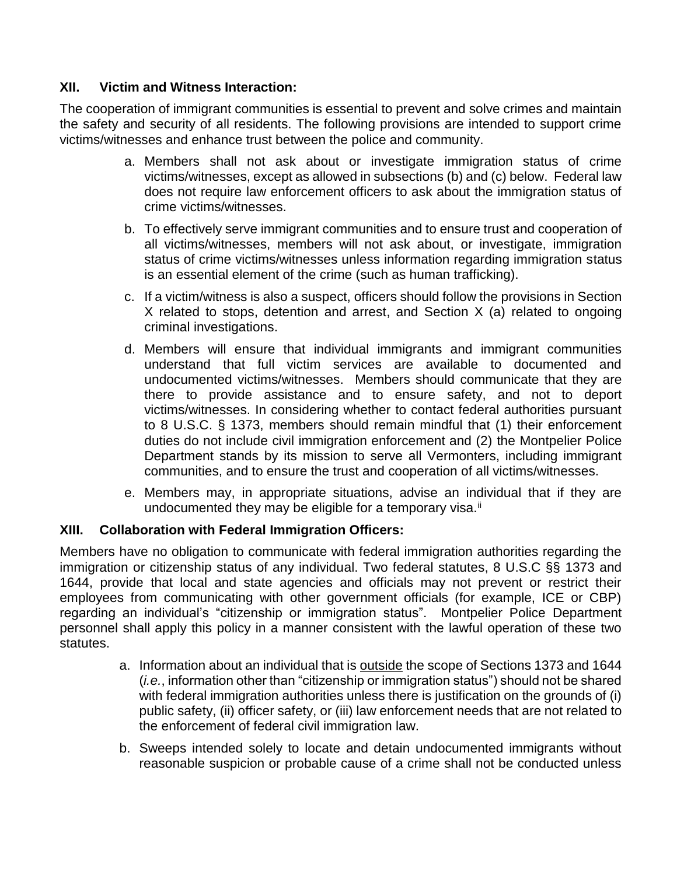## **XII. Victim and Witness Interaction:**

The cooperation of immigrant communities is essential to prevent and solve crimes and maintain the safety and security of all residents. The following provisions are intended to support crime victims/witnesses and enhance trust between the police and community.

- a. Members shall not ask about or investigate immigration status of crime victims/witnesses, except as allowed in subsections (b) and (c) below. Federal law does not require law enforcement officers to ask about the immigration status of crime victims/witnesses.
- b. To effectively serve immigrant communities and to ensure trust and cooperation of all victims/witnesses, members will not ask about, or investigate, immigration status of crime victims/witnesses unless information regarding immigration status is an essential element of the crime (such as human trafficking).
- c. If a victim/witness is also a suspect, officers should follow the provisions in Section X related to stops, detention and arrest, and Section X (a) related to ongoing criminal investigations.
- d. Members will ensure that individual immigrants and immigrant communities understand that full victim services are available to documented and undocumented victims/witnesses. Members should communicate that they are there to provide assistance and to ensure safety, and not to deport victims/witnesses. In considering whether to contact federal authorities pursuant to 8 U.S.C. § 1373, members should remain mindful that (1) their enforcement duties do not include civil immigration enforcement and (2) the Montpelier Police Department stands by its mission to serve all Vermonters, including immigrant communities, and to ensure the trust and cooperation of all victims/witnesses.
- e. Members may, in appropriate situations, advise an individual that if they are undocumented they may be eligible for a temporary visa. $^{\mathrm{ii}}$

# **XIII. Collaboration with Federal Immigration Officers:**

Members have no obligation to communicate with federal immigration authorities regarding the immigration or citizenship status of any individual. Two federal statutes, 8 U.S.C §§ 1373 and 1644, provide that local and state agencies and officials may not prevent or restrict their employees from communicating with other government officials (for example, ICE or CBP) regarding an individual's "citizenship or immigration status". Montpelier Police Department personnel shall apply this policy in a manner consistent with the lawful operation of these two statutes.

- a. Information about an individual that is outside the scope of Sections 1373 and 1644 (*i.e.*, information other than "citizenship or immigration status") should not be shared with federal immigration authorities unless there is justification on the grounds of (i) public safety, (ii) officer safety, or (iii) law enforcement needs that are not related to the enforcement of federal civil immigration law.
- b. Sweeps intended solely to locate and detain undocumented immigrants without reasonable suspicion or probable cause of a crime shall not be conducted unless